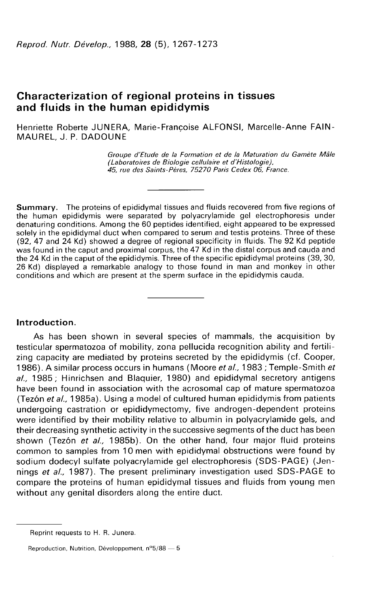# Characterization of regional proteins in tissues and fluids in the human epididymis

Henriette Roberte JUNERA, Marie-Françoise ALFONSI, Marcelle-Anne FAIN-MAUREL, J. P. DADOUNE

Groupe d'Etude de la Formation et de la Maturation du Gamète Mâle<br>(Laboratoires de Biologie cellulaire et d'Histologie), Trafficher Contract Contract Celle<br>(Laboratoires de Biologie Celle Change Character<br>Groupe d'Etude de la Formation et de la Maturatio<br>(Laboratoires de Biologie cellulaire et d'Histologie),<br>45, rue des Saints-Pères, 75270 P 45, rue des Saints-Pères, 75270 Paris Cedex 06, France.

Summary. The proteins of epididymal tissues and fluids recovered from five regions of the human epididymis were separated by polyacrylamide gel electrophoresis under denaturing conditions. Among the 60 peptides identified, eight appeared to be expressed solely in the epididymal duct when compared to serum and testis proteins. Three of these<br>(92, 47 and 24 Kd) showed a degree of regional specificity in fluids. The 92 Kd peptide was found in the caput and proximal corpus, the 47 Kd in the distal corpus and cauda and the 24 Kd in the caput of the epididymis. Three of the specific epididymal proteins (39, 30, 26 Kd) displayed a remarkable analogy to those found in man and monkey in other conditions and which are present at the sperm surface in the epididymis cauda.

#### Introduction.

As has been shown in several species of mammals, the acquisition by testicular spermatozoa of mobility, zona pellucida recognition ability and fertilizing capacity are mediated by proteins secreted by the epididymis (cf. Cooper, 1986). A similar process occurs in humans (Moore et al., 1983; Temple-Smith et al., 1985; Hinrichsen and Blaquier, 1980) and epididymal secretory antigens have been found in association with the acrosomal cap of mature spermatozoa (Tez6n et al, 1985a). Using a model of cultured human epididymis from patients undergoing castration or epididymectomy, five androgen-dependent proteins were identified by their mobility relative to albumin in polyacrylamide gels, and their decreasing synthetic activity in the successive segments of the duct has been shown (Tezón et al., 1985b). On the other hand, four major fluid proteins common to samples from 10 men with epididymal obstructions were found by sodium dodecyl sulfate polyacrylamide gel electrophoresis (SDS-PAGE) (Jennings et al., 1987). The present preliminary investigation used SDS-PAGE to compare the proteins of human epididymal tissues and fluids from young men without any genital disorders along the entire duct.

Reprint requests to H. R. Junera.

Reproduction, Nutrition, Développement,  $n^{\circ}5/88 = 5$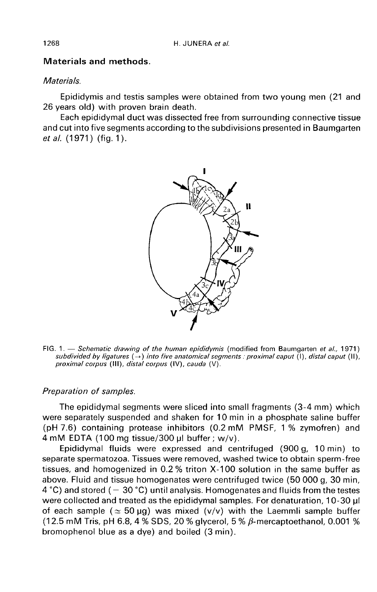## Materials and methods.

### **Materials**

Epididymis and testis samples were obtained from two young men (21 and 26 years old) with proven brain death.

Each epididymal duct was dissected free from surrounding connective tissue and cut into five segments according to the subdivisions presented in Baumgarten et al. (1971) (fig. 1).



FIG. 1. - Schematic drawing of the human epididymis (modified from Baumgarten et al., 1971) subdivided by ligatures  $(\rightarrow)$  into five anatomical segments : proximal caput (I), distal caput (II), proximal corpus (III), distal corpus (IV), cauda (V).

#### Preparation of samples.

The epididymal segments were sliced into small fragments (3-4 mm) which were separately suspended and shaken for 10 min in a phosphate saline buffer (pH 7.6) containing protease inhibitors (0.2 mM PMSF, 1 % zymofren) and  $4 \text{ mM EDTA}$  (100 mg tissue/300 µl buffer ; w/v).

Epididymal fluids were expressed and centrifuged (900 g, 10 min) to separate spermatozoa. Tissues were removed, washed twice to obtain sperm-free tissues, and homogenized in 0.2 % triton X-100 solution in the same buffer as above. Fluid and tissue homogenates were centrifuged twice (50 000 g, 30 min, 4  $\degree$ C) and stored ( - 30  $\degree$ C) until analysis. Homogenates and fluids from the testes were collected and treated as the epididymal samples. For denaturation, 10-30  $\mu$ I of each sample ( $\simeq$  50 µg) was mixed (v/v) with the Laemmli sample buffer (12.5 mM Tris, pH 6.8, 4 % SDS, 20 % glycerol, 5 %  $\beta$ -mercaptoethanol, 0.001 % bromophenol blue as a dye) and boiled (3 min).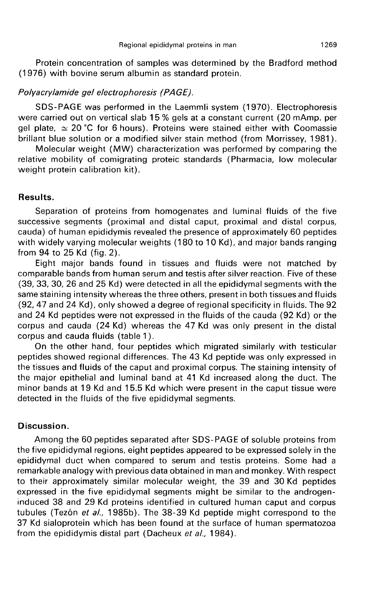Protein concentration of samples was determined by the Bradford method (1976) with bovine serum albumin as standard protein.

#### Polyacrylamide gel electrophoresis (PAGE).

SDS-PAGE was performed in the Laemmli system (1970). Electrophoresis were carried out on vertical slab 15 % gels at a constant current (20 mAmp. per gel plate,  $\simeq 20$  °C for 6 hours). Proteins were stained either with Coomassie brillant blue solution or a modified silver stain method (from Morrissey, 1981 ).

Molecular weight (MW) characterization was performed by comparing the relative mobility of comigrating proteic standards (Pharmacia, low molecular weight protein calibration kit).

#### Results.

Separation of proteins from homogenates and luminal fluids of the five successive segments (proximal and distal caput, proximal and distal corpus, cauda) of human epididymis revealed the presence of approximately 60 peptides with widely varying molecular weights (180 to 10 Kd), and major bands ranging from 94 to 25 Kd (fig. 2).

Eight major bands found in tissues and fluids were not matched by comparable bands from human serum and testis after silver reaction. Five of these (39, 33, 30, 26 and 25 Kd) were detected in all the epididymal segments with the same staining intensity whereas the three others, present in both tissues and fluids (92, 47 and 24 Kd), only showed a degree of regional specificity in fluids. The 92 and 24 Kd peptides were not expressed in the fluids of the cauda (92 Kd) or the corpus and cauda (24 Kd) whereas the 47 Kd was only present in the distal corpus and cauda fluids (table 1 ).

On the other hand, four peptides which migrated similarly with testicular peptides showed regional differences. The 43 Kd peptide was only expressed in the tissues and fluids of the caput and proximal corpus. The staining intensity of the major epithelial and luminal band at 41 Kd increased along the duct. The minor bands at 19 Kd and 15.5 Kd which were present in the caput tissue were detected in the fluids of the five epididymal segments.

#### Discussion.

Among the 60 peptides separated after SDS-PAGE of soluble proteins from the five epididymal regions, eight peptides appeared to be expressed solely in the epididymal duct when compared to serum and testis proteins. Some had a remarkable analogy with previous data obtained in man and monkey. With respect to their approximately similar molecular weight, the 39 and 30 Kd peptides expressed in the five epididymal segments might be similar to the androgeninduced 38 and 29 Kd proteins identified in cultured human caput and corpus tubules (Tezón et al., 1985b). The 38-39 Kd peptide might correspond to the 37 Kd sialoprotein which has been found at the surface of human spermatozoa from the epididymis distal part (Dacheux et al., 1984).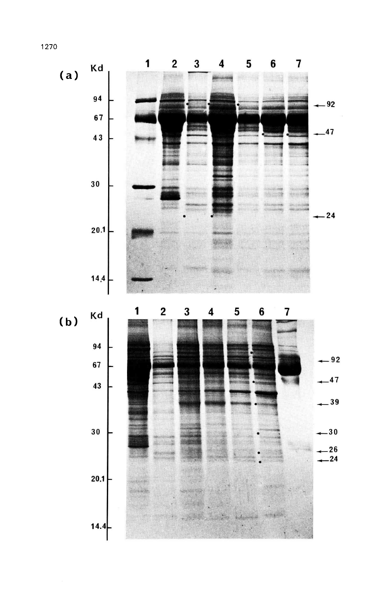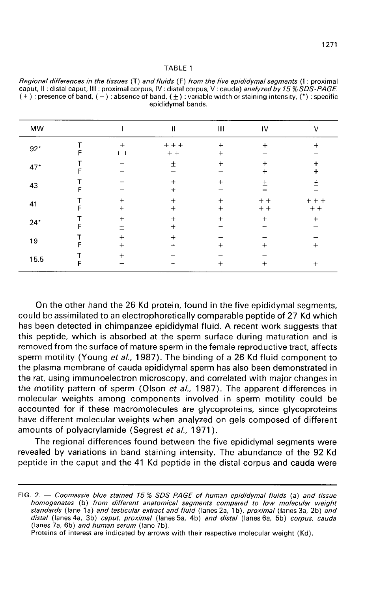| AB' |  |  |
|-----|--|--|
|-----|--|--|

| Regional differences in the tissues (T) and fluids (F) from the five epididymal segments (1: proximal             |
|-------------------------------------------------------------------------------------------------------------------|
| caput, II: distal caput, III: proximal corpus, IV: distal corpus, V: cauda) analyzed by 15 % SDS-PAGE.            |
| $(+)$ : presence of band, $(-)$ : absence of band, $(+)$ : variable width or staining intensity, $(*)$ : specific |
| epididymal hands.                                                                                                 |

| MW    |   |                | н                | Ш                        | IV             | v                  |
|-------|---|----------------|------------------|--------------------------|----------------|--------------------|
| $92*$ |   | $+$<br>$+ +$   | $+ + +$<br>$+ +$ | $+$<br>$\,{}^+$          | $+$            |                    |
| 47*   |   |                | 土                | $\ddot{}$                | $+$<br>+       | $\ddot{}$<br>$\pm$ |
| 43    |   | $\mathrm{+}$   |                  | $\div$                   | $^{+}$         | $^{+}$             |
| 41    |   | ┿<br>$\ddot{}$ |                  | $^{+}$<br>$\overline{+}$ | $+ +$<br>$+ +$ | $+ + +$<br>$+ +$   |
| $24*$ | F | ┿<br>士         |                  | $^{+}$                   | $+$            | $\ddot{}$          |
| 19    |   | $\,+\,$<br>土   |                  | ┿                        | $\,{}^+$       | $\,{}^+$           |
| 15.5  |   | $^+$           | ╈                | ┿                        | +              | $\,+\,$            |

On the other hand the 26 Kd protein, found in the five epididymal segments, could be assimilated to an electrophoretically comparable peptide of 27 Kd which has been detected in chimpanzee epididymal fluid. A recent work suggests that this peptide, which is absorbed at the sperm surface during maturation and is removed from the surface of mature sperm in the female reproductive tract, affects sperm motility (Young et al., 1987). The binding of a 26 Kd fluid component to the plasma membrane of cauda epididymal sperm has also been demonstrated in the rat, using immunoelectron microscopy, and correlated with major changes in the motility pattern of sperm (Olson et al., 1987). The apparent differences in molecular weights among components involved in sperm motility could be accounted for if these macromolecules are glycoproteins, since glycoproteins have different molecular weights when analyzed on gels composed of different amounts of polyacrylamide (Segrest et al., 1971).

The regional differences found between the five epididymal segments were revealed by variations in band staining intensity. The abundance of the 92 Kd peptide in the caput and the 41 Kd peptide in the distal corpus and cauda were

Proteins of interest are indicated by arrows with their respective molecular weight (Kd).

FIG. 2. - Coomassie blue stained 15% SDS-PAGE of human epididymal fluids (a) and tissue homogenates (b) from different anatomical segments compared to low molecular weight standards (lane 1a) and testicular extract and fluid (lanes 2a, 1b), proximal (lanes 3a, 2b) and distal (lanes 4a, 3b) caput, proximal (lanes 5a, 4b) and distal (lanes 6a, 5b) corpus, cauda (lanes 7a, 6b) and human serum (lane 7b).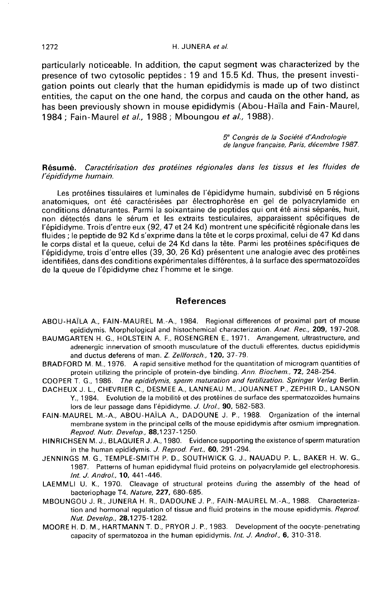particularly noticeable. In addition, the caput segment was characterized by the presence of two cytosolic peptides : 19 and 15.5 Kd. Thus, the present investigation points out clearly that the human epididymis is made up of two distinct entities, the caput on the one hand, the corpus and cauda on the other hand, as has been previously shown in mouse epididymis (Abou-Haïla and Fain-Maurel, 1984; Fain-Maurel et al., 1988; Mboungou et al., 1988).

> 5<sup>e</sup> Congrès de la Société d'Andrologie de langue française, Paris, décembre 1987.

### Résumé. Caractérisation des protéines régionales dans les tissus et les fluides de l'épididyme humain.

Les protéines tissulaires et luminales de l'épididyme humain, subdivisé en 5 régions anatomiques, ont été caractérisées par électrophorèse en gel de polyacrylamide en conditions dénaturantes. Parmi la soixantaine de peptides qui ont été ainsi séparés, huit, non détectés dans le sérum et les extraits testiculaires, apparaissent spécifiques de l'épididyme. Trois d'entre eux (92, 47 et 24 Kd) montrent une spécificité régionale dans les fluides ; le peptide de 92 Kd s'exprime dans la tête et le corps proximal, celui de 47 Kd dans le corps distal et la queue, celui de 24 Kd dans la tête. Parmi les protéines spécifiques de l'épididyme, trois d'entre elles (39, 30, 26 Kd) présentent une analogie avec des protéines identifiées, dans des conditions expérimentales différentes, à la surface des spermatozoïdes de la queue de l'épididyme chez l'homme et le singe.

#### References

- ABOU-HAÏLA A., FAIN-MAUREL M.-A., 1984. Regional differences of proximal part of mouse epididymis. Morphological and histochemical characterization. Anat. Rec., 209, 197-208.
- BAUMGARTEN H. G., HOLSTEIN A. F., ROSENGREN E., 1971. Arrangement, ultrastructure, and adrenergic innervation of smooth musculature of the ductuli efferentes, ductus epididymis and ductus deferens of man. Z. Zellforsch., 120, 37-79.
- BRADFORD M. M., 1976. A rapid sensitive method for the quantitation of microgram quantities of protein utilizing the principle of protein-dye binding. Ann. Biochem., 72, 248-254.
- COOPER T. G., 1986. The epididymis. sperm maturation and fertilization. Springer Verlag Berlin.
- DACHEUX J. L., CHEVRIER C., DESMEE A., LANNEAU M., JOUANNET P., ZEPHIR D., LANSON Y., 1984. Evolution de la mobilité et des protéines de surface des spermatozoïdes humains lors de leur passage dans l'épididyme. J. Urol., 90, 582-583.
- FAIN-MAUREL M.-A., ABOU-HAÏLA A., DADOUNE J. P., 1988. Organization of the internai membrane system in the principal cells of the mouse epididymis after osmium impregnation. Reprod. Nutr. Develop., 88,1237-1250.
- HINRICHSENM.J.,BLAQUIERJ.A.,1980. Evidence supporting the existence of sperm maturation in the human epididymis. J. Reprod. Fert., 60, 291-294.
- JENNINGS M. G., TEMPLE-SMITH P. D., SOUTHWICK G. J., NAUADU P. L., BAKER H. W. G., 1987. Patterns of human epididymal fluid proteins on polyacrylamide gel electrophoresis. Int. J. Androl., 10, 441-446.
- LAEMMLI U. K., 1970. Cleavage of structural proteins during the assembly of the head of bacteriophage T4. Nature, 227, 680-685.
- MBOUNGOU J. R., JUNERA H. R., DADOUNE J. P., FAIN-MAUREL M.-A., 1988. Characterization and hormonal regulation of tissue and fluid proteins in the mouse epididymis. Reprod. Nut. Develop., 28,1275-1282.
- MOORE H. D. M., HARTMANN T. D., PRYOR J. P., 1983. Development of the oocyte-penetrating capacity of spermatozoa in the human epididymis. Int. J. Androl., 6, 310-318.

1272